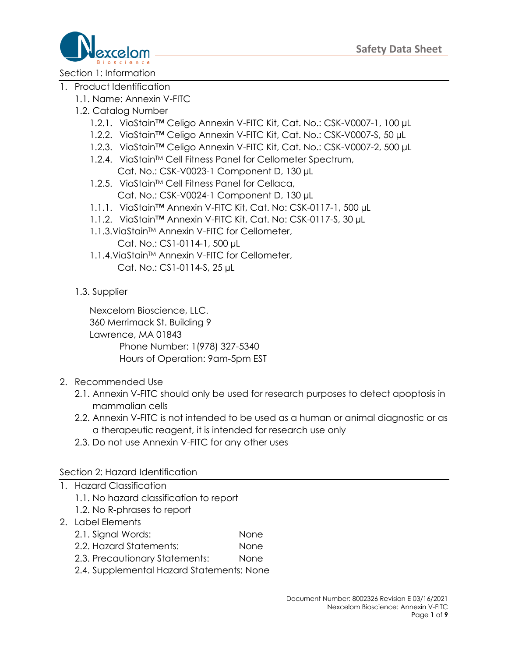

Section 1: Information

- 1. Product Identification
	- 1.1. Name: Annexin V-FITC
	- 1.2. Catalog Number
		- 1.2.1. ViaStain™ Celigo Annexin V-FITC Kit, Cat. No.: CSK-V0007-1, 100 µL
		- 1.2.2. ViaStain™ Celigo Annexin V-FITC Kit, Cat. No.: CSK-V0007-S, 50 µL
		- 1.2.3. ViaStain™ Celigo Annexin V-FITC Kit, Cat. No.: CSK-V0007-2, 500 μL
		- 1.2.4. ViaStain™ Cell Fitness Panel for Cellometer Spectrum, Cat. No.: CSK-V0023-1 Component D, 130 µL
		- 1.2.5. ViaStain™ Cell Fitness Panel for Cellaca, Cat. No.: CSK-V0024-1 Component D, 130 µL
		- 1.1.1. ViaStain™ Annexin V-FITC Kit, Cat. No: CSK-0117-1, 500 µL
		- 1.1.2. ViaStain™ Annexin V-FITC Kit, Cat. No: CSK-0117-S, 30 µL
		- 1.1.3. ViaStain<sup>™</sup> Annexin V-FITC for Cellometer,
			- Cat. No.: CS1-0114-1, 500 µL
		- 1.1.4. ViaStain™ Annexin V-FITC for Cellometer, Cat. No.: CS1-0114-S, 25 µL
	- 1.3. Supplier

Nexcelom Bioscience, LLC. 360 Merrimack St. Building 9 Lawrence, MA 01843 Phone Number: 1(978) 327-5340 Hours of Operation: 9am-5pm EST

- 2. Recommended Use
	- 2.1. Annexin V-FITC should only be used for research purposes to detect apoptosis in mammalian cells
	- 2.2. Annexin V-FITC is not intended to be used as a human or animal diagnostic or as a therapeutic reagent, it is intended for research use only
	- 2.3. Do not use Annexin V-FITC for any other uses

#### Section 2: Hazard Identification

- 1. Hazard Classification
	- 1.1. No hazard classification to report
	- 1.2. No R-phrases to report
- 2. Label Elements
	- 2.1. Signal Words: None
	- 2.2. Hazard Statements: None
	- 2.3. Precautionary Statements: None
	- 2.4. Supplemental Hazard Statements: None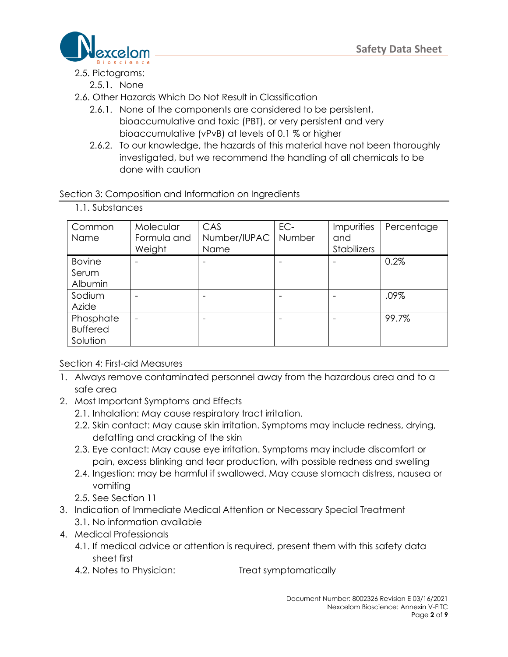

#### 2.5. Pictograms:

1.1. Substances

- 2.5.1. None
- 2.6. Other Hazards Which Do Not Result in Classification
	- 2.6.1. None of the components are considered to be persistent, bioaccumulative and toxic (PBT), or very persistent and very bioaccumulative (vPvB) at levels of 0.1 % or higher
	- 2.6.2. To our knowledge, the hazards of this material have not been thoroughly investigated, but we recommend the handling of all chemicals to be done with caution

## Section 3: Composition and Information on Ingredients

| Common          | Molecular   | CAS          | EC-    | Impurities         | Percentage |
|-----------------|-------------|--------------|--------|--------------------|------------|
| <b>Name</b>     | Formula and | Number/IUPAC | Number | and                |            |
|                 | Weight      | Name         |        | <b>Stabilizers</b> |            |
| <b>Bovine</b>   |             |              |        |                    | 0.2%       |
| Serum           |             |              |        |                    |            |
| Albumin         |             |              |        |                    |            |
| Sodium          |             |              |        |                    | .09%       |
| Azide           |             |              |        |                    |            |
| Phosphate       |             |              |        |                    | 99.7%      |
| <b>Buffered</b> |             |              |        |                    |            |
| Solution        |             |              |        |                    |            |

## Section 4: First-aid Measures

- 1. Always remove contaminated personnel away from the hazardous area and to a safe area
- 2. Most Important Symptoms and Effects
	- 2.1. Inhalation: May cause respiratory tract irritation.
	- 2.2. Skin contact: May cause skin irritation. Symptoms may include redness, drying, defatting and cracking of the skin
	- 2.3. Eye contact: May cause eye irritation. Symptoms may include discomfort or pain, excess blinking and tear production, with possible redness and swelling
	- 2.4. Ingestion: may be harmful if swallowed. May cause stomach distress, nausea or vomiting
	- 2.5. See Section 11
- 3. Indication of Immediate Medical Attention or Necessary Special Treatment 3.1. No information available
- 4. Medical Professionals
	- 4.1. If medical advice or attention is required, present them with this safety data sheet first
	- 4.2. Notes to Physician: Treat symptomatically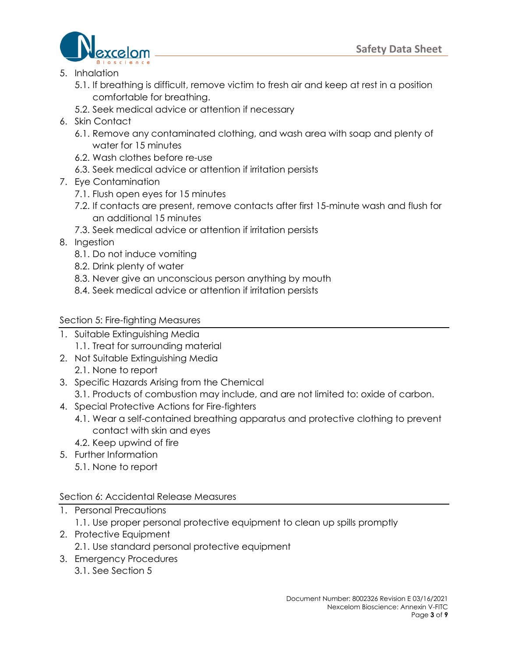

- 5. Inhalation
	- 5.1. If breathing is difficult, remove victim to fresh air and keep at rest in a position comfortable for breathing.
	- 5.2. Seek medical advice or attention if necessary
- 6. Skin Contact
	- 6.1. Remove any contaminated clothing, and wash area with soap and plenty of water for 15 minutes
	- 6.2. Wash clothes before re-use
	- 6.3. Seek medical advice or attention if irritation persists
- 7. Eye Contamination
	- 7.1. Flush open eyes for 15 minutes
	- 7.2. If contacts are present, remove contacts after first 15-minute wash and flush for an additional 15 minutes
	- 7.3. Seek medical advice or attention if irritation persists
- 8. Ingestion
	- 8.1. Do not induce vomiting
	- 8.2. Drink plenty of water
	- 8.3. Never give an unconscious person anything by mouth
	- 8.4. Seek medical advice or attention if irritation persists

### Section 5: Fire-fighting Measures

- 1. Suitable Extinguishing Media
	- 1.1. Treat for surrounding material
- 2. Not Suitable Extinguishing Media 2.1. None to report
- 3. Specific Hazards Arising from the Chemical
- 3.1. Products of combustion may include, and are not limited to: oxide of carbon.
- 4. Special Protective Actions for Fire-fighters
	- 4.1. Wear a self-contained breathing apparatus and protective clothing to prevent contact with skin and eyes
	- 4.2. Keep upwind of fire
- 5. Further Information
	- 5.1. None to report

#### Section 6: Accidental Release Measures

- 1. Personal Precautions
	- 1.1. Use proper personal protective equipment to clean up spills promptly
- 2. Protective Equipment
	- 2.1. Use standard personal protective equipment
- 3. Emergency Procedures
	- 3.1. See Section 5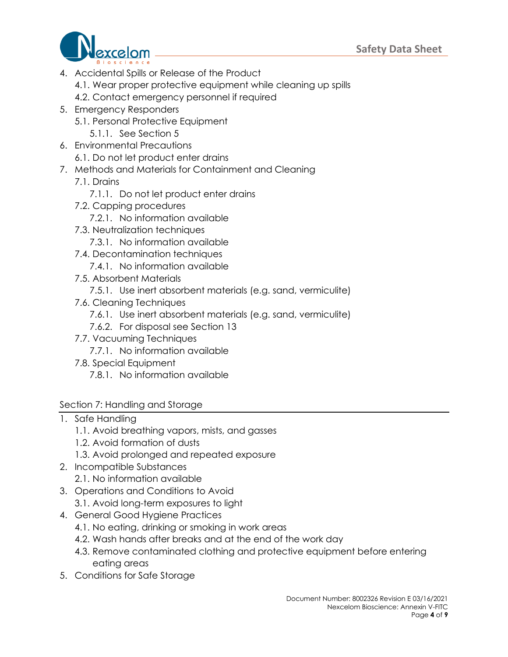

- 4. Accidental Spills or Release of the Product
	- 4.1. Wear proper protective equipment while cleaning up spills
	- 4.2. Contact emergency personnel if required
- 5. Emergency Responders
	- 5.1. Personal Protective Equipment
		- 5.1.1. See Section 5
- 6. Environmental Precautions
	- 6.1. Do not let product enter drains
- 7. Methods and Materials for Containment and Cleaning
	- 7.1. Drains
		- 7.1.1. Do not let product enter drains
	- 7.2. Capping procedures
		- 7.2.1. No information available
	- 7.3. Neutralization techniques
		- 7.3.1. No information available
	- 7.4. Decontamination techniques
		- 7.4.1. No information available
	- 7.5. Absorbent Materials
		- 7.5.1. Use inert absorbent materials (e.g. sand, vermiculite)
	- 7.6. Cleaning Techniques
		- 7.6.1. Use inert absorbent materials (e.g. sand, vermiculite)
		- 7.6.2. For disposal see Section 13
	- 7.7. Vacuuming Techniques
		- 7.7.1. No information available
	- 7.8. Special Equipment
		- 7.8.1. No information available

#### Section 7: Handling and Storage

- 1. Safe Handling
	- 1.1. Avoid breathing vapors, mists, and gasses
	- 1.2. Avoid formation of dusts
	- 1.3. Avoid prolonged and repeated exposure
- 2. Incompatible Substances
	- 2.1. No information available
- 3. Operations and Conditions to Avoid
	- 3.1. Avoid long-term exposures to light
- 4. General Good Hygiene Practices
	- 4.1. No eating, drinking or smoking in work areas
	- 4.2. Wash hands after breaks and at the end of the work day
	- 4.3. Remove contaminated clothing and protective equipment before entering eating areas
- 5. Conditions for Safe Storage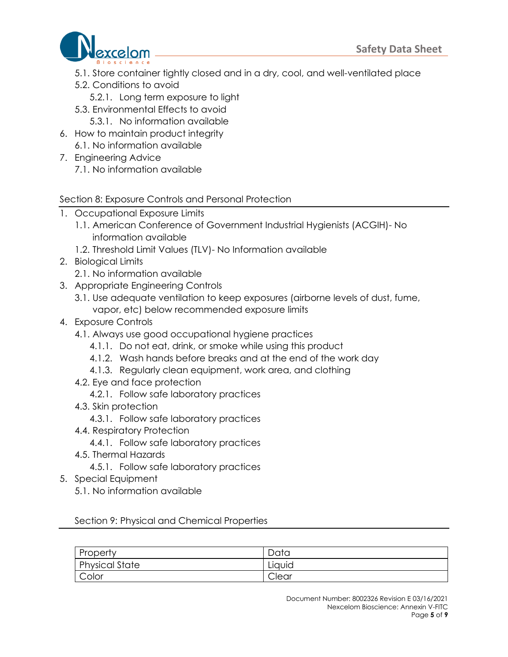

- 5.1. Store container tightly closed and in a dry, cool, and well-ventilated place
- 5.2. Conditions to avoid
	- 5.2.1. Long term exposure to light
- 5.3. Environmental Effects to avoid 5.3.1. No information available
- 
- 6. How to maintain product integrity 6.1. No information available
- 7. Engineering Advice
	- 7.1. No information available

### Section 8: Exposure Controls and Personal Protection

- 1. Occupational Exposure Limits
	- 1.1. American Conference of Government Industrial Hygienists (ACGIH)- No information available
	- 1.2. Threshold Limit Values (TLV)- No Information available
- 2. Biological Limits
	- 2.1. No information available
- 3. Appropriate Engineering Controls
	- 3.1. Use adequate ventilation to keep exposures (airborne levels of dust, fume, vapor, etc) below recommended exposure limits
- 4. Exposure Controls
	- 4.1. Always use good occupational hygiene practices
		- 4.1.1. Do not eat, drink, or smoke while using this product
		- 4.1.2. Wash hands before breaks and at the end of the work day
		- 4.1.3. Regularly clean equipment, work area, and clothing
	- 4.2. Eye and face protection
		- 4.2.1. Follow safe laboratory practices
	- 4.3. Skin protection
		- 4.3.1. Follow safe laboratory practices
	- 4.4. Respiratory Protection
		- 4.4.1. Follow safe laboratory practices
	- 4.5. Thermal Hazards
		- 4.5.1. Follow safe laboratory practices
- 5. Special Equipment
	- 5.1. No information available

Section 9: Physical and Chemical Properties

| Property              | Data   |
|-----------------------|--------|
| <b>Physical State</b> | Liquid |
| Color                 | Clear  |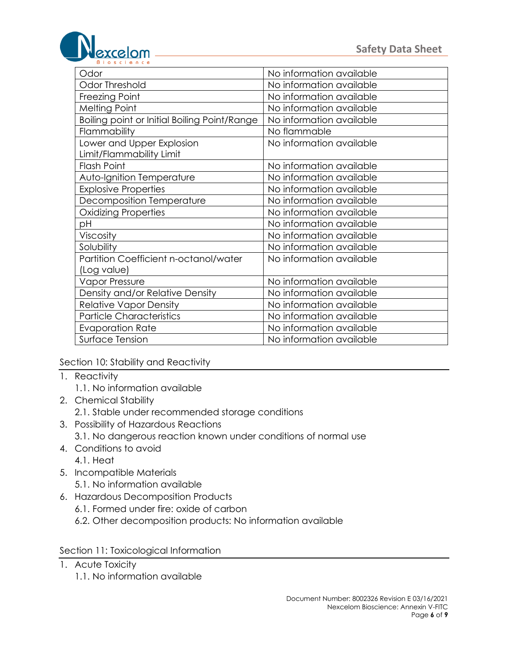

| Odor                                         | No information available |  |  |
|----------------------------------------------|--------------------------|--|--|
| <b>Odor Threshold</b>                        | No information available |  |  |
| Freezing Point                               | No information available |  |  |
| <b>Melting Point</b>                         | No information available |  |  |
| Boiling point or Initial Boiling Point/Range | No information available |  |  |
| Flammability                                 | No flammable             |  |  |
| Lower and Upper Explosion                    | No information available |  |  |
| Limit/Flammability Limit                     |                          |  |  |
| <b>Flash Point</b>                           | No information available |  |  |
| Auto-Ignition Temperature                    | No information available |  |  |
| <b>Explosive Properties</b>                  | No information available |  |  |
| Decomposition Temperature                    | No information available |  |  |
| <b>Oxidizing Properties</b>                  | No information available |  |  |
| рH                                           | No information available |  |  |
| Viscosity                                    | No information available |  |  |
| Solubility                                   | No information available |  |  |
| Partition Coefficient n-octanol/water        | No information available |  |  |
| (Log value)                                  |                          |  |  |
| <b>Vapor Pressure</b>                        | No information available |  |  |
| Density and/or Relative Density              | No information available |  |  |
| <b>Relative Vapor Density</b>                | No information available |  |  |
| <b>Particle Characteristics</b>              | No information available |  |  |
| <b>Evaporation Rate</b>                      | No information available |  |  |
| Surface Tension                              | No information available |  |  |

Section 10: Stability and Reactivity

- 1. Reactivity
	- 1.1. No information available
- 2. Chemical Stability
	- 2.1. Stable under recommended storage conditions
- 3. Possibility of Hazardous Reactions
	- 3.1. No dangerous reaction known under conditions of normal use
- 4. Conditions to avoid
	- 4.1. Heat
- 5. Incompatible Materials
	- 5.1. No information available
- 6. Hazardous Decomposition Products
	- 6.1. Formed under fire: oxide of carbon
	- 6.2. Other decomposition products: No information available

#### Section 11: Toxicological Information

- 1. Acute Toxicity
	- 1.1. No information available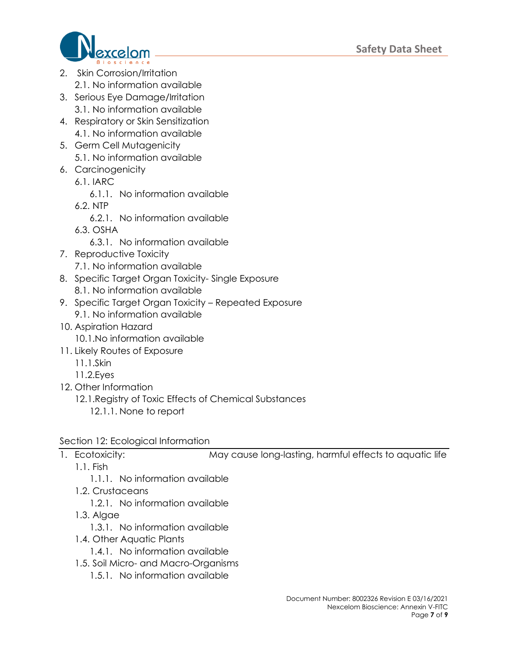

- 2. Skin Corrosion/Irritation 2.1. No information available
- 3. Serious Eye Damage/Irritation 3.1. No information available
- 4. Respiratory or Skin Sensitization 4.1. No information available
- 5. Germ Cell Mutagenicity 5.1. No information available
- 6. Carcinogenicity
	- 6.1. IARC
		- 6.1.1. No information available
	- 6.2. NTP
		- 6.2.1. No information available
	- 6.3. OSHA
		- 6.3.1. No information available
- 7. Reproductive Toxicity
	- 7.1. No information available
- 8. Specific Target Organ Toxicity- Single Exposure 8.1. No information available
- 9. Specific Target Organ Toxicity Repeated Exposure 9.1. No information available
- 10. Aspiration Hazard
	- 10.1.No information available
- 11. Likely Routes of Exposure
	- 11.1.Skin
	- 11.2.Eyes
- 12. Other Information
	- 12.1.Registry of Toxic Effects of Chemical Substances
		- 12.1.1. None to report

# Section 12: Ecological Information

- 
- 1. Ecotoxicity: May cause long-lasting, harmful effects to aquatic life
	- 1.1. Fish
		- 1.1.1. No information available
	- 1.2. Crustaceans
		- 1.2.1. No information available
	- 1.3. Algae
		- 1.3.1. No information available
	- 1.4. Other Aquatic Plants
		- 1.4.1. No information available
	- 1.5. Soil Micro- and Macro-Organisms
		- 1.5.1. No information available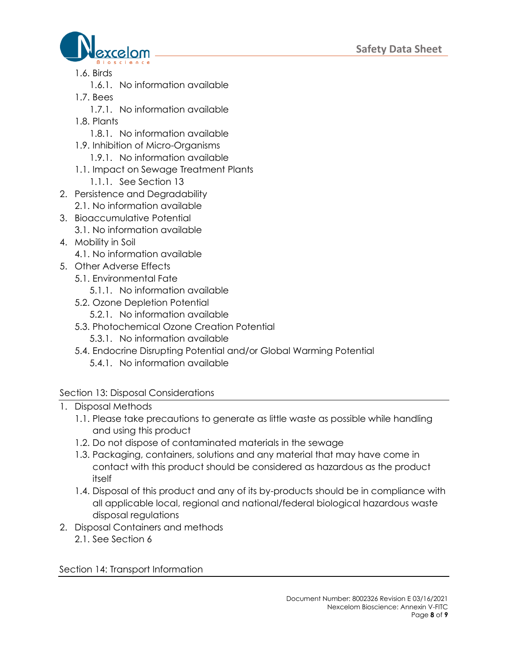

- 1.6. Birds
	- 1.6.1. No information available
- 1.7. Bees
	- 1.7.1. No information available
- 1.8. Plants
	- 1.8.1. No information available
- 1.9. Inhibition of Micro-Organisms
	- 1.9.1. No information available
- 1.1. Impact on Sewage Treatment Plants
	- 1.1.1. See Section 13
- 2. Persistence and Degradability 2.1. No information available
- 3. Bioaccumulative Potential
- 3.1. No information available
- 4. Mobility in Soil
	- 4.1. No information available
- 5. Other Adverse Effects
	- 5.1. Environmental Fate
		- 5.1.1. No information available
	- 5.2. Ozone Depletion Potential
		- 5.2.1. No information available
	- 5.3. Photochemical Ozone Creation Potential
		- 5.3.1. No information available
	- 5.4. Endocrine Disrupting Potential and/or Global Warming Potential
		- 5.4.1. No information available

# Section 13: Disposal Considerations

- 1. Disposal Methods
	- 1.1. Please take precautions to generate as little waste as possible while handling and using this product
	- 1.2. Do not dispose of contaminated materials in the sewage
	- 1.3. Packaging, containers, solutions and any material that may have come in contact with this product should be considered as hazardous as the product itself
	- 1.4. Disposal of this product and any of its by-products should be in compliance with all applicable local, regional and national/federal biological hazardous waste disposal regulations
- 2. Disposal Containers and methods
	- 2.1. See Section 6

Section 14: Transport Information